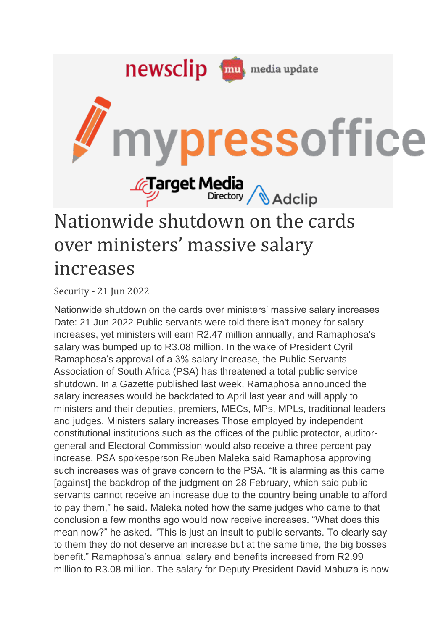

Security - 21 Jun 2022

Nationwide shutdown on the cards over ministers' massive salary increases Date: 21 Jun 2022 Public servants were told there isn't money for salary increases, yet ministers will earn R2.47 million annually, and Ramaphosa's salary was bumped up to R3.08 million. In the wake of President Cyril Ramaphosa's approval of a 3% salary increase, the Public Servants Association of South Africa (PSA) has threatened a total public service shutdown. In a Gazette published last week, Ramaphosa announced the salary increases would be backdated to April last year and will apply to ministers and their deputies, premiers, MECs, MPs, MPLs, traditional leaders and judges. Ministers salary increases Those employed by independent constitutional institutions such as the offices of the public protector, auditorgeneral and Electoral Commission would also receive a three percent pay increase. PSA spokesperson Reuben Maleka said Ramaphosa approving such increases was of grave concern to the PSA. "It is alarming as this came [against] the backdrop of the judgment on 28 February, which said public servants cannot receive an increase due to the country being unable to afford to pay them," he said. Maleka noted how the same judges who came to that conclusion a few months ago would now receive increases. "What does this mean now?" he asked. "This is just an insult to public servants. To clearly say to them they do not deserve an increase but at the same time, the big bosses benefit." Ramaphosa's annual salary and benefits increased from R2.99 million to R3.08 million. The salary for Deputy President David Mabuza is now